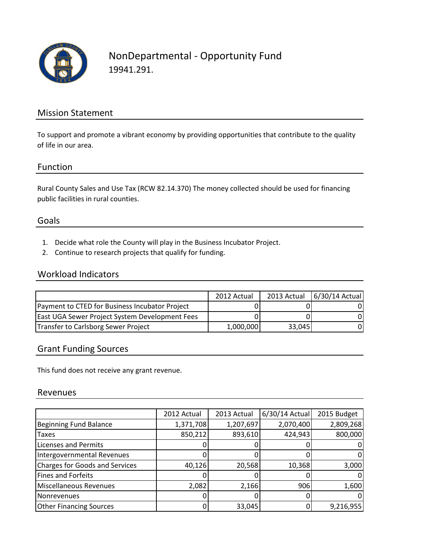

### NonDepartmental - Opportunity Fund 19941.291.

### Mission Statement

To support and promote a vibrant economy by providing opportunities that contribute to the quality of life in our area.

#### Function

Rural County Sales and Use Tax (RCW 82.14.370) The money collected should be used for financing public facilities in rural counties.

### Goals

- 1. Decide what role the County will play in the Business Incubator Project.
- 2. Continue to research projects that qualify for funding.

### Workload Indicators

|                                                       | 2012 Actual |        | 2013 Actual   6/30/14 Actual |
|-------------------------------------------------------|-------------|--------|------------------------------|
| Payment to CTED for Business Incubator Project        |             |        |                              |
| <b>East UGA Sewer Project System Development Fees</b> |             |        |                              |
| Transfer to Carlsborg Sewer Project                   | 1,000,000   | 33,045 |                              |

### Grant Funding Sources

This fund does not receive any grant revenue.

#### Revenues

|                                       | 2012 Actual | 2013 Actual | 6/30/14 Actual | 2015 Budget |
|---------------------------------------|-------------|-------------|----------------|-------------|
| <b>Beginning Fund Balance</b>         | 1,371,708   | 1,207,697   | 2,070,400      | 2,809,268   |
| <b>Taxes</b>                          | 850,212     | 893,610     | 424,943        | 800,000     |
| <b>Licenses and Permits</b>           |             |             |                |             |
| Intergovernmental Revenues            |             |             |                |             |
| <b>Charges for Goods and Services</b> | 40,126      | 20,568      | 10,368         | 3,000       |
| <b>Fines and Forfeits</b>             |             |             |                |             |
| Miscellaneous Revenues                | 2,082       | 2,166       | 906            | 1,600       |
| Nonrevenues                           |             |             |                |             |
| <b>Other Financing Sources</b>        |             | 33,045      |                | 9,216,955   |